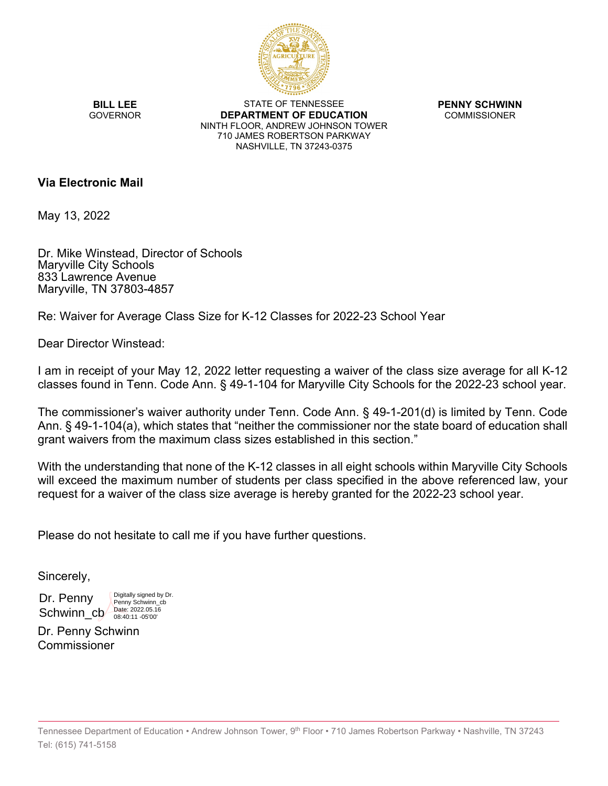

**BILL LEE GOVERNOR** 

STATE OF TENNESSEE **DEPARTMENT OF EDUCATION** NINTH FLOOR, ANDREW JOHNSON TOWER 710 JAMES ROBERTSON PARKWAY NASHVILLE, TN 37243-0375

**PENNY SCHWINN** COMMISSIONER

## **Via Electronic Mail**

May 13, 2022

Dr. Mike Winstead, Director of Schools Maryville City Schools 833 Lawrence Avenue Maryville, TN 37803-4857

Re: Waiver for Average Class Size for K-12 Classes for 2022-23 School Year

Dear Director Winstead:

I am in receipt of your May 12, 2022 letter requesting a waiver of the class size average for all K-12 classes found in Tenn. Code Ann. § 49-1-104 for Maryville City Schools for the 2022-23 school year.

The commissioner's waiver authority under Tenn. Code Ann. § 49-1-201(d) is limited by Tenn. Code Ann. § 49-1-104(a), which states that "neither the commissioner nor the state board of education shall grant waivers from the maximum class sizes established in this section."

With the understanding that none of the K-12 classes in all eight schools within Maryville City Schools will exceed the maximum number of students per class specified in the above referenced law, your request for a waiver of the class size average is hereby granted for the 2022-23 school year.

Please do not hesitate to call me if you have further questions.

Sincerely,

Dr. Penny Schwinn\_cb<sup>/</sup>

Digitally signed by Dr. Penny Schwinn\_cb Date: 2022.05.16 08:40:11 -05'00'

Dr. Penny Schwinn Commissioner